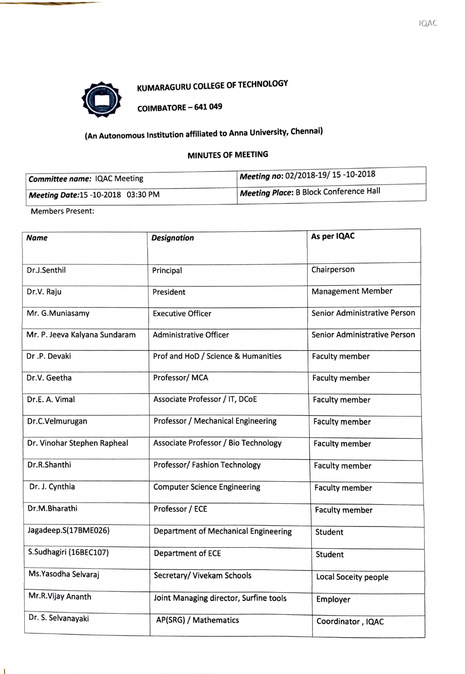

# 0 KUMARAGURU COLLEGE OF TECHNOLOGY

COIMBATORE - 641 049

# (An Autonomous Institution affiliated to Anna University, Chennai)

## **MINUTES OF MEETING**

| Committee name: IQAC Meeting      | Meeting no: 02/2018-19/ 15 -10-2018    |  |
|-----------------------------------|----------------------------------------|--|
| Meeting Date:15 -10-2018 03:30 PM | Meeting Place: B Block Conference Hall |  |

Members Present:

T.

| <b>Designation</b><br><b>Name</b> |                                        | As per IQAC                         |  |
|-----------------------------------|----------------------------------------|-------------------------------------|--|
|                                   |                                        |                                     |  |
| Dr.J.Senthil                      | Principal                              | Chairperson                         |  |
| Dr.V. Raju                        | President                              | <b>Management Member</b>            |  |
| Mr. G.Muniasamy                   | <b>Executive Officer</b>               | <b>Senior Administrative Person</b> |  |
| Mr. P. Jeeva Kalyana Sundaram     | <b>Administrative Officer</b>          | Senior Administrative Person        |  |
| Dr.P. Devaki                      | Prof and HoD / Science & Humanities    | <b>Faculty member</b>               |  |
| Dr.V. Geetha                      | Professor/MCA                          | <b>Faculty member</b>               |  |
| Dr.E. A. Vimal                    | Associate Professor / IT, DCoE         | <b>Faculty member</b>               |  |
| Dr.C.Velmurugan                   | Professor / Mechanical Engineering     | <b>Faculty member</b>               |  |
| Dr. Vinohar Stephen Rapheal       | Associate Professor / Bio Technology   | <b>Faculty member</b>               |  |
| Dr.R.Shanthi                      | Professor/ Fashion Technology          | <b>Faculty member</b>               |  |
| Dr. J. Cynthia                    | <b>Computer Science Engineering</b>    | <b>Faculty member</b>               |  |
| Dr.M.Bharathi                     | Professor / ECE                        | <b>Faculty member</b>               |  |
| Jagadeep.S(17BME026)              | Department of Mechanical Engineering   | Student                             |  |
| S.Sudhagiri (16BEC107)            | Department of ECE                      | Student                             |  |
| Ms. Yasodha Selvaraj              | Secretary/ Vivekam Schools             | Local Soceity people                |  |
| Mr.R.Vijay Ananth                 | Joint Managing director, Surfine tools | Employer                            |  |
| Dr. S. Selvanayaki                | AP(SRG) / Mathematics                  | Coordinator, IQAC                   |  |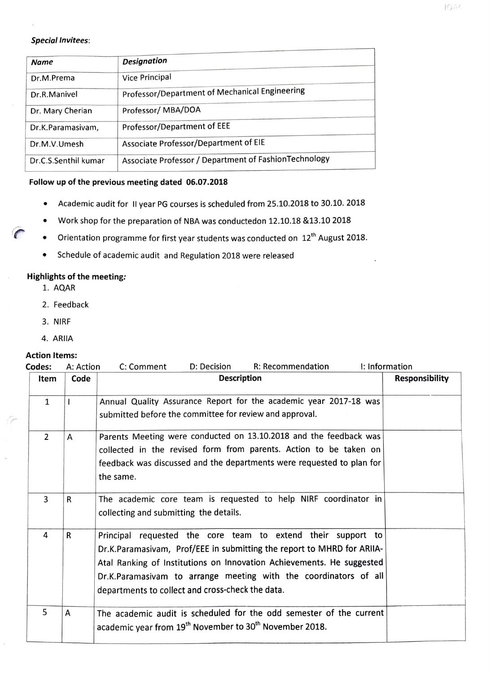#### **Special Invitees:**

| <b>Name</b>          | <b>Designation</b>                                    |
|----------------------|-------------------------------------------------------|
| Dr.M.Prema           | Vice Principal                                        |
| Dr.R.Manivel         | Professor/Department of Mechanical Engineering        |
| Dr. Mary Cherian     | Professor/MBA/DOA                                     |
| Dr.K.Paramasivam,    | Professor/Department of EEE                           |
| Dr.M.V.Umesh         | Associate Professor/Department of EIE                 |
| Dr.C.S.Senthil kumar | Associate Professor / Department of FashionTechnology |

#### **Follow up of the previous meeting dated 06.07.2018**

- Academic audit for II year PG courses is scheduled from 25.10.2018 to 30.10. 2018
- Work shop for the preparation of NBA was conductedon 12.10.18 &13.10 2018
- Orientation programme for first year students was conducted on 12<sup>th</sup> August 2018.
- Schedule of academic audit and Regulation 2018 were released

### **Highlights of the meeting:**

- 1. **AQAR**
- 2. Feedback
- 3. NIRF
- **4. ARIIA**

#### **Action Items:**

|      | R: Recommendation<br>D: Decision<br>C: Comment                                                                                                                                                                                                                                                                                          | I: Information        |
|------|-----------------------------------------------------------------------------------------------------------------------------------------------------------------------------------------------------------------------------------------------------------------------------------------------------------------------------------------|-----------------------|
| Code | <b>Description</b>                                                                                                                                                                                                                                                                                                                      | <b>Responsibility</b> |
|      | Annual Quality Assurance Report for the academic year 2017-18 was<br>submitted before the committee for review and approval.                                                                                                                                                                                                            |                       |
| A    | Parents Meeting were conducted on 13.10.2018 and the feedback was<br>collected in the revised form from parents. Action to be taken on<br>feedback was discussed and the departments were requested to plan for<br>the same.                                                                                                            |                       |
| R    | The academic core team is requested to help NIRF coordinator in<br>collecting and submitting the details.                                                                                                                                                                                                                               |                       |
| R    | Principal requested the core team to extend their support to<br>Dr.K.Paramasivam, Prof/EEE in submitting the report to MHRD for ARIIA-<br>Atal Ranking of Institutions on Innovation Achievements. He suggested<br>Dr.K.Paramasivam to arrange meeting with the coordinators of all<br>departments to collect and cross-check the data. |                       |
| А    | The academic audit is scheduled for the odd semester of the current<br>academic year from 19 <sup>th</sup> November to 30 <sup>th</sup> November 2018.                                                                                                                                                                                  |                       |
|      |                                                                                                                                                                                                                                                                                                                                         | A: Action             |